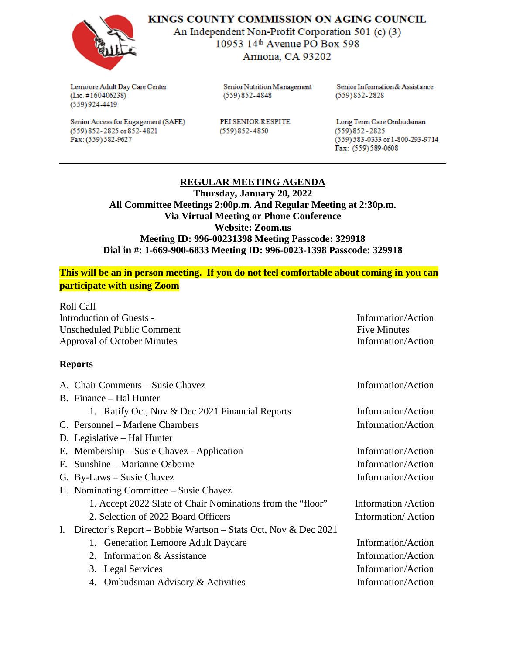

KINGS COUNTY COMMISSION ON AGING COUNCIL

An Independent Non-Profit Corporation 501 (c) (3) 10953 14th Avenue PO Box 598 Armona, CA 93202

Lemoore Adult Day Care Center  $(Lic. #160406238)$  $(559)924-4419$ 

(559) 852-2825 or 852-4821

Fax: (559) 582-9627

Senior Access for Engagement (SAFE)

Senior Nutrition Management  $(559)852 - 4848$ 

PEI SENIOR RESPITE  $(559)852 - 4850$ 

Senior Information & Assistance  $(559)852 - 2828$ 

Long Term Care Ombudsman  $(559)852 - 2825$ (559) 583-0333 or 1-800-293-9714 Fax: (559)589-0608

## **REGULAR MEETING AGENDA**

**Thursday, January 20, 2022 All Committee Meetings 2:00p.m. And Regular Meeting at 2:30p.m. Via Virtual Meeting or Phone Conference Website: Zoom.us Meeting ID: 996-00231398 Meeting Passcode: 329918 Dial in #: 1-669-900-6833 Meeting ID: 996-0023-1398 Passcode: 329918**

**This will be an in person meeting. If you do not feel comfortable about coming in you can participate with using Zoom**

Roll Call Introduction of Guests - Information/Action Unscheduled Public Comment **Fixe** Section 2 and The Minutes Five Minutes Approval of October Minutes **Information**/Action

## **Reports**

|    | A. Chair Comments – Susie Chavez                               | Information/Action   |
|----|----------------------------------------------------------------|----------------------|
|    | B. Finance – Hal Hunter                                        |                      |
|    | 1. Ratify Oct, Nov & Dec 2021 Financial Reports                | Information/Action   |
|    | C. Personnel – Marlene Chambers                                | Information/Action   |
|    | D. Legislative – Hal Hunter                                    |                      |
|    | E. Membership – Susie Chavez - Application                     | Information/Action   |
|    | F. Sunshine – Marianne Osborne                                 | Information/Action   |
|    | G. By-Laws – Susie Chavez                                      | Information/Action   |
|    | H. Nominating Committee – Susie Chavez                         |                      |
|    | 1. Accept 2022 Slate of Chair Nominations from the "floor"     | Information / Action |
|    | 2. Selection of 2022 Board Officers                            | Information/Action   |
| I. | Director's Report – Bobbie Wartson – Stats Oct, Nov & Dec 2021 |                      |
|    | 1. Generation Lemoore Adult Daycare                            | Information/Action   |
|    | 2. Information & Assistance                                    | Information/Action   |
|    | 3. Legal Services                                              | Information/Action   |
|    | 4. Ombudsman Advisory & Activities                             | Information/Action   |